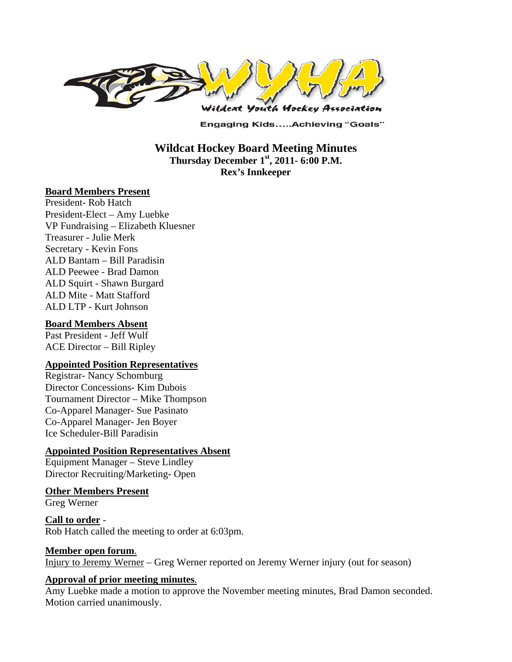

**Engaging Kids.....Achieving "Goals"** 

## **Wildcat Hockey Board Meeting Minutes Thursday December 1st, 2011- 6:00 P.M. Rex's Innkeeper**

#### **Board Members Present**

President- Rob Hatch President-Elect – Amy Luebke VP Fundraising – Elizabeth Kluesner Treasurer - Julie Merk Secretary - Kevin Fons ALD Bantam – Bill Paradisin ALD Peewee - Brad Damon ALD Squirt - Shawn Burgard ALD Mite - Matt Stafford ALD LTP - Kurt Johnson

#### **Board Members Absent**

Past President - Jeff Wulf ACE Director – Bill Ripley

#### **Appointed Position Representatives**

Registrar- Nancy Schomburg Director Concessions- Kim Dubois Tournament Director – Mike Thompson Co-Apparel Manager- Sue Pasinato Co-Apparel Manager- Jen Boyer Ice Scheduler-Bill Paradisin

### **Appointed Position Representatives Absent**

Equipment Manager – Steve Lindley Director Recruiting/Marketing- Open

#### **Other Members Present**

Greg Werner

#### **Call to order** - Rob Hatch called the meeting to order at 6:03pm.

#### **Member open forum**.

Injury to Jeremy Werner – Greg Werner reported on Jeremy Werner injury (out for season)

#### **Approval of prior meeting minutes**.

Amy Luebke made a motion to approve the November meeting minutes, Brad Damon seconded. Motion carried unanimously.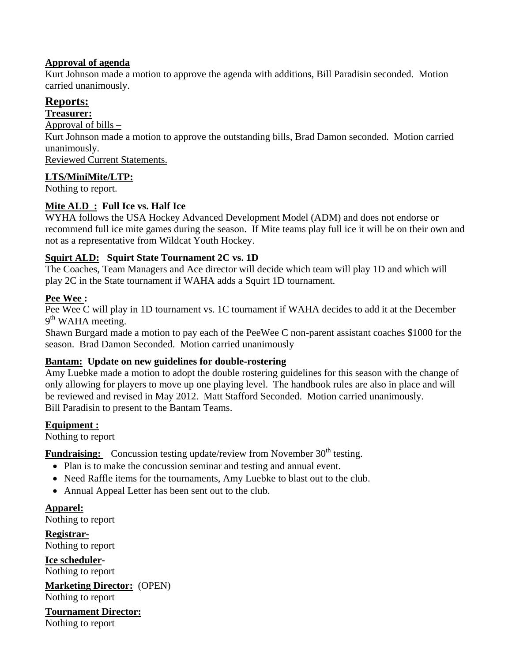### **Approval of agenda**

Kurt Johnson made a motion to approve the agenda with additions, Bill Paradisin seconded. Motion carried unanimously.

# **Reports:**

#### **Treasurer:**

Approval of bills –

Kurt Johnson made a motion to approve the outstanding bills, Brad Damon seconded. Motion carried unanimously.

Reviewed Current Statements.

#### **LTS/MiniMite/LTP:**

Nothing to report.

## **Mite ALD : Full Ice vs. Half Ice**

WYHA follows the USA Hockey Advanced Development Model (ADM) and does not endorse or recommend full ice mite games during the season. If Mite teams play full ice it will be on their own and not as a representative from Wildcat Youth Hockey.

### **Squirt ALD: Squirt State Tournament 2C vs. 1D**

The Coaches, Team Managers and Ace director will decide which team will play 1D and which will play 2C in the State tournament if WAHA adds a Squirt 1D tournament.

### **Pee Wee :**

Pee Wee C will play in 1D tournament vs. 1C tournament if WAHA decides to add it at the December  $9<sup>th</sup>$  WAHA meeting.

Shawn Burgard made a motion to pay each of the PeeWee C non-parent assistant coaches \$1000 for the season. Brad Damon Seconded. Motion carried unanimously

### **Bantam: Update on new guidelines for double-rostering**

Amy Luebke made a motion to adopt the double rostering guidelines for this season with the change of only allowing for players to move up one playing level. The handbook rules are also in place and will be reviewed and revised in May 2012. Matt Stafford Seconded. Motion carried unanimously. Bill Paradisin to present to the Bantam Teams.

### **Equipment :**

Nothing to report

**Fundraising:** Concussion testing update/review from November 30<sup>th</sup> testing.

- Plan is to make the concussion seminar and testing and annual event.
- Need Raffle items for the tournaments, Amy Luebke to blast out to the club.
- Annual Appeal Letter has been sent out to the club.

**Apparel:**  Nothing to report

**Registrar-**Nothing to report

**Ice scheduler-**Nothing to report

**Marketing Director:** (OPEN) Nothing to report

**Tournament Director:** Nothing to report